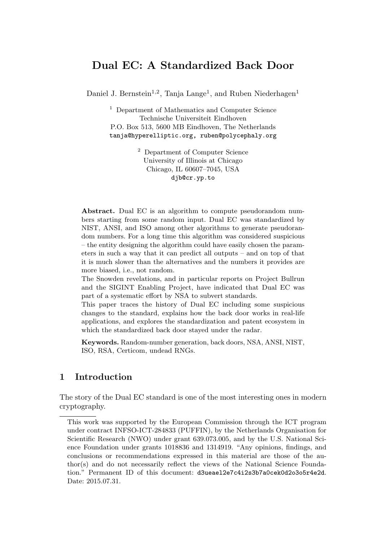# Dual EC: A Standardized Back Door

Daniel J. Bernstein<sup>1,2</sup>, Tanja Lange<sup>1</sup>, and Ruben Niederhagen<sup>1</sup>

<sup>1</sup> Department of Mathematics and Computer Science Technische Universiteit Eindhoven P.O. Box 513, 5600 MB Eindhoven, The Netherlands tanja@hyperelliptic.org, ruben@polycephaly.org

> <sup>2</sup> Department of Computer Science University of Illinois at Chicago Chicago, IL 60607–7045, USA djb@cr.yp.to

Abstract. Dual EC is an algorithm to compute pseudorandom numbers starting from some random input. Dual EC was standardized by NIST, ANSI, and ISO among other algorithms to generate pseudorandom numbers. For a long time this algorithm was considered suspicious – the entity designing the algorithm could have easily chosen the parameters in such a way that it can predict all outputs – and on top of that it is much slower than the alternatives and the numbers it provides are more biased, i.e., not random.

The Snowden revelations, and in particular reports on Project Bullrun and the SIGINT Enabling Project, have indicated that Dual EC was part of a systematic effort by NSA to subvert standards.

This paper traces the history of Dual EC including some suspicious changes to the standard, explains how the back door works in real-life applications, and explores the standardization and patent ecosystem in which the standardized back door stayed under the radar.

Keywords. Random-number generation, back doors, NSA, ANSI, NIST, ISO, RSA, Certicom, undead RNGs.

# 1 Introduction

The story of the Dual EC standard is one of the most interesting ones in modern cryptography.

This work was supported by the European Commission through the ICT program under contract INFSO-ICT-284833 (PUFFIN), by the Netherlands Organisation for Scientific Research (NWO) under grant 639.073.005, and by the U.S. National Science Foundation under grants 1018836 and 1314919. "Any opinions, findings, and conclusions or recommendations expressed in this material are those of the author(s) and do not necessarily reflect the views of the National Science Foundation." Permanent ID of this document: d3ueael2e7c4i2s3b7a0cek0d2o3o5r4e2d. Date: 2015.07.31.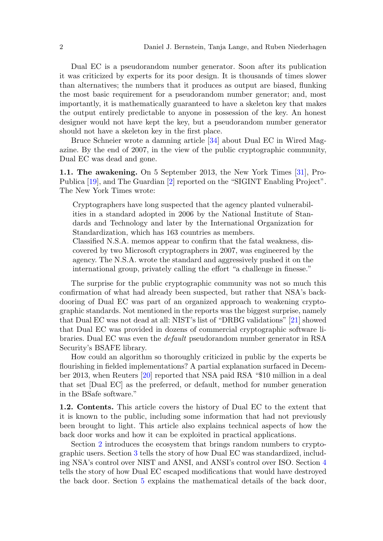Dual EC is a pseudorandom number generator. Soon after its publication it was criticized by experts for its poor design. It is thousands of times slower than alternatives; the numbers that it produces as output are biased, flunking the most basic requirement for a pseudorandom number generator; and, most importantly, it is mathematically guaranteed to have a skeleton key that makes the output entirely predictable to anyone in possession of the key. An honest designer would not have kept the key, but a pseudorandom number generator should not have a skeleton key in the first place.

Bruce Schneier wrote a damning article [\[34\]](#page-24-0) about Dual EC in Wired Magazine. By the end of 2007, in the view of the public cryptographic community, Dual EC was dead and gone.

1.1. The awakening. On 5 September 2013, the New York Times [\[31\]](#page-24-1), Pro-Publica [\[19\]](#page-23-0), and The Guardian [\[2\]](#page-22-0) reported on the "SIGINT Enabling Project". The New York Times wrote:

Cryptographers have long suspected that the agency planted vulnerabilities in a standard adopted in 2006 by the National Institute of Standards and Technology and later by the International Organization for Standardization, which has 163 countries as members.

Classified N.S.A. memos appear to confirm that the fatal weakness, discovered by two Microsoft cryptographers in 2007, was engineered by the agency. The N.S.A. wrote the standard and aggressively pushed it on the international group, privately calling the effort "a challenge in finesse."

The surprise for the public cryptographic community was not so much this confirmation of what had already been suspected, but rather that NSA's backdooring of Dual EC was part of an organized approach to weakening cryptographic standards. Not mentioned in the reports was the biggest surprise, namely that Dual EC was not dead at all: NIST's list of "DRBG validations" [\[21\]](#page-23-1) showed that Dual EC was provided in dozens of commercial cryptographic software libraries. Dual EC was even the default pseudorandom number generator in RSA Security's BSAFE library.

How could an algorithm so thoroughly criticized in public by the experts be flourishing in fielded implementations? A partial explanation surfaced in December 2013, when Reuters [\[20\]](#page-23-2) reported that NSA paid RSA "\$10 million in a deal that set [Dual EC] as the preferred, or default, method for number generation in the BSafe software."

1.2. Contents. This article covers the history of Dual EC to the extent that it is known to the public, including some information that had not previously been brought to light. This article also explains technical aspects of how the back door works and how it can be exploited in practical applications.

Section [2](#page-2-0) introduces the ecosystem that brings random numbers to cryptographic users. Section [3](#page-3-0) tells the story of how Dual EC was standardized, including NSA's control over NIST and ANSI, and ANSI's control over ISO. Section [4](#page-6-0) tells the story of how Dual EC escaped modifications that would have destroyed the back door. Section [5](#page-9-0) explains the mathematical details of the back door,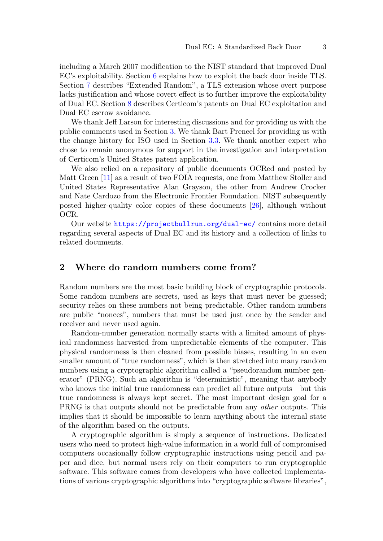including a March 2007 modification to the NIST standard that improved Dual EC's exploitability. Section [6](#page-13-0) explains how to exploit the back door inside TLS. Section [7](#page-17-0) describes "Extended Random", a TLS extension whose overt purpose lacks justification and whose covert effect is to further improve the exploitability of Dual EC. Section [8](#page-19-0) describes Certicom's patents on Dual EC exploitation and Dual EC escrow avoidance.

We thank Jeff Larson for interesting discussions and for providing us with the public comments used in Section [3.](#page-3-0) We thank Bart Preneel for providing us with the change history for ISO used in Section [3.3.](#page-6-1) We thank another expert who chose to remain anonymous for support in the investigation and interpretation of Certicom's United States patent application.

We also relied on a repository of public documents OCRed and posted by Matt Green [\[11\]](#page-23-3) as a result of two FOIA requests, one from Matthew Stoller and United States Representative Alan Grayson, the other from Andrew Crocker and Nate Cardozo from the Electronic Frontier Foundation. NIST subsequently posted higher-quality color copies of these documents [\[26\]](#page-24-2), although without OCR.

Our website <https://projectbullrun.org/dual-ec/> contains more detail regarding several aspects of Dual EC and its history and a collection of links to related documents.

# <span id="page-2-0"></span>2 Where do random numbers come from?

Random numbers are the most basic building block of cryptographic protocols. Some random numbers are secrets, used as keys that must never be guessed; security relies on these numbers not being predictable. Other random numbers are public "nonces", numbers that must be used just once by the sender and receiver and never used again.

Random-number generation normally starts with a limited amount of physical randomness harvested from unpredictable elements of the computer. This physical randomness is then cleaned from possible biases, resulting in an even smaller amount of "true randomness", which is then stretched into many random numbers using a cryptographic algorithm called a "pseudorandom number generator" (PRNG). Such an algorithm is "deterministic", meaning that anybody who knows the initial true randomness can predict all future outputs—but this true randomness is always kept secret. The most important design goal for a PRNG is that outputs should not be predictable from any other outputs. This implies that it should be impossible to learn anything about the internal state of the algorithm based on the outputs.

A cryptographic algorithm is simply a sequence of instructions. Dedicated users who need to protect high-value information in a world full of compromised computers occasionally follow cryptographic instructions using pencil and paper and dice, but normal users rely on their computers to run cryptographic software. This software comes from developers who have collected implementations of various cryptographic algorithms into "cryptographic software libraries",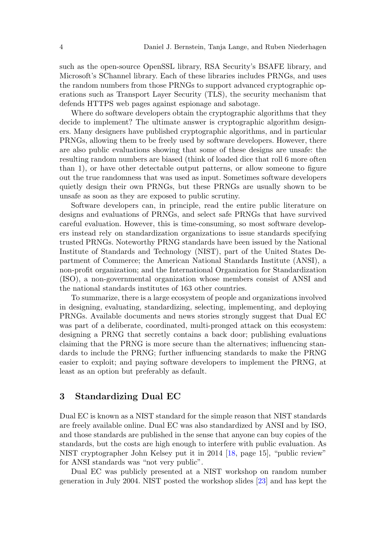such as the open-source OpenSSL library, RSA Security's BSAFE library, and Microsoft's SChannel library. Each of these libraries includes PRNGs, and uses the random numbers from those PRNGs to support advanced cryptographic operations such as Transport Layer Security (TLS), the security mechanism that defends HTTPS web pages against espionage and sabotage.

Where do software developers obtain the cryptographic algorithms that they decide to implement? The ultimate answer is cryptographic algorithm designers. Many designers have published cryptographic algorithms, and in particular PRNGs, allowing them to be freely used by software developers. However, there are also public evaluations showing that some of these designs are unsafe: the resulting random numbers are biased (think of loaded dice that roll 6 more often than 1), or have other detectable output patterns, or allow someone to figure out the true randomness that was used as input. Sometimes software developers quietly design their own PRNGs, but these PRNGs are usually shown to be unsafe as soon as they are exposed to public scrutiny.

Software developers can, in principle, read the entire public literature on designs and evaluations of PRNGs, and select safe PRNGs that have survived careful evaluation. However, this is time-consuming, so most software developers instead rely on standardization organizations to issue standards specifying trusted PRNGs. Noteworthy PRNG standards have been issued by the National Institute of Standards and Technology (NIST), part of the United States Department of Commerce; the American National Standards Institute (ANSI), a non-profit organization; and the International Organization for Standardization (ISO), a non-governmental organization whose members consist of ANSI and the national standards institutes of 163 other countries.

To summarize, there is a large ecosystem of people and organizations involved in designing, evaluating, standardizing, selecting, implementing, and deploying PRNGs. Available documents and news stories strongly suggest that Dual EC was part of a deliberate, coordinated, multi-pronged attack on this ecosystem: designing a PRNG that secretly contains a back door; publishing evaluations claiming that the PRNG is more secure than the alternatives; influencing standards to include the PRNG; further influencing standards to make the PRNG easier to exploit; and paying software developers to implement the PRNG, at least as an option but preferably as default.

#### <span id="page-3-0"></span>3 Standardizing Dual EC

Dual EC is known as a NIST standard for the simple reason that NIST standards are freely available online. Dual EC was also standardized by ANSI and by ISO, and those standards are published in the sense that anyone can buy copies of the standards, but the costs are high enough to interfere with public evaluation. As NIST cryptographer John Kelsey put it in 2014 [\[18,](#page-23-4) page 15], "public review" for ANSI standards was "not very public".

Dual EC was publicly presented at a NIST workshop on random number generation in July 2004. NIST posted the workshop slides [\[23\]](#page-24-3) and has kept the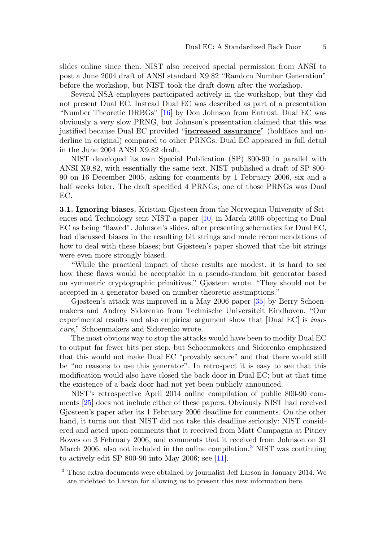slides online since then. NIST also received special permission from ANSI to post a June 2004 draft of ANSI standard X9.82 "Random Number Generation" before the workshop, but NIST took the draft down after the workshop.

Several NSA employees participated actively in the workshop, but they did not present Dual EC. Instead Dual EC was described as part of a presentation "Number Theoretic DRBGs" [\[16\]](#page-23-5) by Don Johnson from Entrust. Dual EC was obviously a very slow PRNG, but Johnson's presentation claimed that this was justified because Dual EC provided "increased assurance" (boldface and underline in original) compared to other PRNGs. Dual EC appeared in full detail in the June 2004 ANSI X9.82 draft.

NIST developed its own Special Publication (SP) 800-90 in parallel with ANSI X9.82, with essentially the same text. NIST published a draft of SP 800- 90 on 16 December 2005, asking for comments by 1 February 2006, six and a half weeks later. The draft specified 4 PRNGs; one of those PRNGs was Dual EC.

3.1. Ignoring biases. Kristian Gjøsteen from the Norwegian University of Sciences and Technology sent NIST a paper [\[10\]](#page-23-6) in March 2006 objecting to Dual EC as being "flawed". Johnson's slides, after presenting schematics for Dual EC, had discussed biases in the resulting bit strings and made recommendations of how to deal with these biases; but Gjøsteen's paper showed that the bit strings were even more strongly biased.

"While the practical impact of these results are modest, it is hard to see how these flaws would be acceptable in a pseudo-random bit generator based on symmetric cryptographic primitives," Gjøsteen wrote. "They should not be accepted in a generator based on number-theoretic assumptions."

Gjøsteen's attack was improved in a May 2006 paper [\[35\]](#page-24-4) by Berry Schoenmakers and Andrey Sidorenko from Technische Universiteit Eindhoven. "Our experimental results and also empirical argument show that [Dual EC] is insecure," Schoenmakers and Sidorenko wrote.

The most obvious way to stop the attacks would have been to modify Dual EC to output far fewer bits per step, but Schoenmakers and Sidorenko emphasized that this would not make Dual EC "provably secure" and that there would still be "no reasons to use this generator". In retrospect it is easy to see that this modification would also have closed the back door in Dual EC; but at that time the existence of a back door had not yet been publicly announced.

NIST's retrospective April 2014 online compilation of public 800-90 comments [\[25\]](#page-24-5) does not include either of these papers. Obviously NIST had received Gjøsteen's paper after its 1 February 2006 deadline for comments. On the other hand, it turns out that NIST did not take this deadline seriously: NIST considered and acted upon comments that it received from Matt Campagna at Pitney Bowes on 3 February 2006, and comments that it received from Johnson on 31 March 2006, also not included in the online compilation.<sup>[3](#page-4-0)</sup> NIST was continuing to actively edit SP 800-90 into May 2006; see [\[11\]](#page-23-3).

<span id="page-4-0"></span><sup>3</sup> These extra documents were obtained by journalist Jeff Larson in January 2014. We are indebted to Larson for allowing us to present this new information here.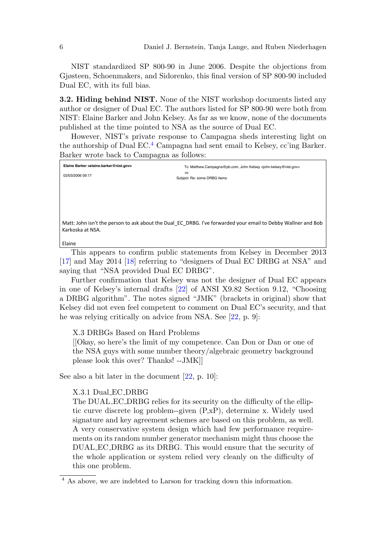NIST standardized SP 800-90 in June 2006. Despite the objections from Gjøsteen, Schoenmakers, and Sidorenko, this final version of SP 800-90 included Dual EC, with its full bias.

3.2. Hiding behind NIST. None of the NIST workshop documents listed any author or designer of Dual EC. The authors listed for SP 800-90 were both from NIST: Elaine Barker and John Kelsey. As far as we know, none of the documents published at the time pointed to NSA as the source of Dual EC.

However, NIST's private response to Campagna sheds interesting light on the authorship of Dual EC.[4](#page-5-0) Campagna had sent email to Kelsey, cc'ing Barker. Barker wrote back to Campagna as follows:

**Elaine Barker <elaine.barker@nist.gov>** 02/03/2006 09:17 To Matthew.Campagna@pb.com, John Kelsey <john.kelsey@nist.gov> cc Subject Re: some DRBG items Matt: John isn't the person to ask about the Dual EC DRBG. I've forwarded your email to Debby Wallner and Bob Karkoska at NSA. Elaine

This appears to confirm public statements from Kelsey in December 2013 [\[17\]](#page-23-7) and May 2014 [\[18\]](#page-23-4) referring to "designers of Dual EC DRBG at NSA" and saying that "NSA provided Dual EC DRBG".

Further confirmation that Kelsey was not the designer of Dual EC appears in one of Kelsey's internal drafts [\[22\]](#page-23-8) of ANSI X9.82 Section 9.12, "Choosing a DRBG algorithm". The notes signed "JMK" (brackets in original) show that Kelsey did not even feel competent to comment on Dual EC's security, and that he was relying critically on advice from NSA. See [\[22,](#page-23-8) p. 9]:

X.3 DRBGs Based on Hard Problems

[[Okay, so here's the limit of my competence. Can Don or Dan or one of the NSA guys with some number theory/algebraic geometry background please look this over? Thanks! --JMK]]

See also a bit later in the document [\[22,](#page-23-8) p. 10]:

X.3.1 Dual EC DRBG

The DUAL EC DRBG relies for its security on the difficulty of the elliptic curve discrete log problem--given (P,xP), determine x. Widely used signature and key agreement schemes are based on this problem, as well. A very conservative system design which had few performance requirements on its random number generator mechanism might thus choose the DUAL EC DRBG as its DRBG. This would ensure that the security of the whole application or system relied very cleanly on the difficulty of this one problem.

<span id="page-5-0"></span><sup>4</sup> As above, we are indebted to Larson for tracking down this information.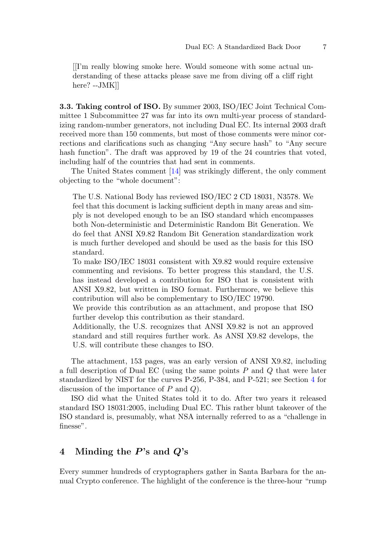[[I'm really blowing smoke here. Would someone with some actual understanding of these attacks please save me from diving off a cliff right here? --JMK]]

<span id="page-6-1"></span>3.3. Taking control of ISO. By summer 2003, ISO/IEC Joint Technical Committee 1 Subcommittee 27 was far into its own multi-year process of standardizing random-number generators, not including Dual EC. Its internal 2003 draft received more than 150 comments, but most of those comments were minor corrections and clarifications such as changing "Any secure hash" to "Any secure hash function". The draft was approved by 19 of the 24 countries that voted, including half of the countries that had sent in comments.

The United States comment [\[14\]](#page-23-9) was strikingly different, the only comment objecting to the "whole document":

The U.S. National Body has reviewed ISO/IEC 2 CD 18031, N3578. We feel that this document is lacking sufficient depth in many areas and simply is not developed enough to be an ISO standard which encompasses both Non-deterministic and Deterministic Random Bit Generation. We do feel that ANSI X9.82 Random Bit Generation standardization work is much further developed and should be used as the basis for this ISO standard.

To make ISO/IEC 18031 consistent with X9.82 would require extensive commenting and revisions. To better progress this standard, the U.S. has instead developed a contribution for ISO that is consistent with ANSI X9.82, but written in ISO format. Furthermore, we believe this contribution will also be complementary to ISO/IEC 19790.

We provide this contribution as an attachment, and propose that ISO further develop this contribution as their standard.

Additionally, the U.S. recognizes that ANSI X9.82 is not an approved standard and still requires further work. As ANSI X9.82 develops, the U.S. will contribute these changes to ISO.

The attachment, 153 pages, was an early version of ANSI X9.82, including a full description of Dual EC (using the same points  $P$  and  $Q$  that were later standardized by NIST for the curves P-256, P-384, and P-521; see Section [4](#page-6-0) for discussion of the importance of  $P$  and  $Q$ ).

ISO did what the United States told it to do. After two years it released standard ISO 18031:2005, including Dual EC. This rather blunt takeover of the ISO standard is, presumably, what NSA internally referred to as a "challenge in finesse".

## <span id="page-6-0"></span>4 Minding the  $P$ 's and  $Q$ 's

Every summer hundreds of cryptographers gather in Santa Barbara for the annual Crypto conference. The highlight of the conference is the three-hour "rump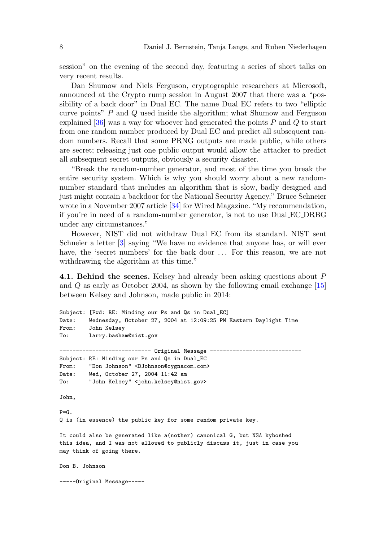session" on the evening of the second day, featuring a series of short talks on very recent results.

Dan Shumow and Niels Ferguson, cryptographic researchers at Microsoft, announced at the Crypto rump session in August 2007 that there was a "possibility of a back door" in Dual EC. The name Dual EC refers to two "elliptic curve points" P and Q used inside the algorithm; what Shumow and Ferguson explained  $[36]$  was a way for whoever had generated the points P and Q to start from one random number produced by Dual EC and predict all subsequent random numbers. Recall that some PRNG outputs are made public, while others are secret; releasing just one public output would allow the attacker to predict all subsequent secret outputs, obviously a security disaster.

"Break the random-number generator, and most of the time you break the entire security system. Which is why you should worry about a new randomnumber standard that includes an algorithm that is slow, badly designed and just might contain a backdoor for the National Security Agency," Bruce Schneier wrote in a November 2007 article [\[34\]](#page-24-0) for Wired Magazine. "My recommendation, if you're in need of a random-number generator, is not to use Dual EC DRBG under any circumstances."

However, NIST did not withdraw Dual EC from its standard. NIST sent Schneier a letter [\[3\]](#page-22-1) saying "We have no evidence that anyone has, or will ever have, the 'secret numbers' for the back door ... For this reason, we are not withdrawing the algorithm at this time."

<span id="page-7-0"></span>4.1. Behind the scenes. Kelsey had already been asking questions about P and Q as early as October 2004, as shown by the following email exchange [\[15\]](#page-23-10) between Kelsey and Johnson, made public in 2014:

```
Subject: [Fwd: RE: Minding our Ps and Qs in Dual_EC]
Date: Wednesday, October 27, 2004 at 12:09:25 PM Eastern Daylight Time
From: John Kelsey
To: larry.basham@nist.gov
---------------------------    0riginal Message -------------------------------
Subject: RE: Minding our Ps and Qs in Dual_EC
From: "Don Johnson" <DJohnson@cygnacom.com>
Date: Wed, October 27, 2004 11:42 am
To: "John Kelsey" <john.kelsey@nist.gov>
John,
P = G.
Q is (in essence) the public key for some random private key.
It could also be generated like a(nother) canonical G, but NSA kyboshed
this idea, and I was not allowed to publicly discuss it, just in case you
may think of going there.
Don B. Johnson
-----Original Message-----
```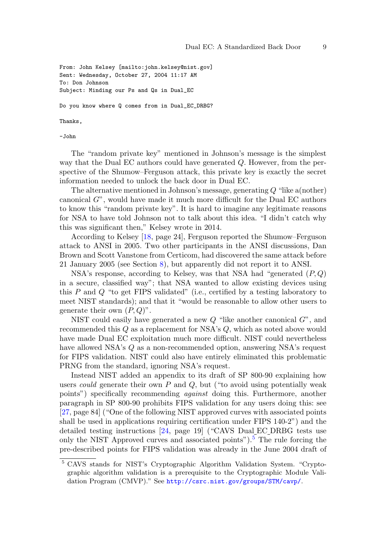From: John Kelsey [mailto:john.kelsey@nist.gov] Sent: Wednesday, October 27, 2004 11:17 AM To: Don Johnson Subject: Minding our Ps and Qs in Dual\_EC Do you know where Q comes from in Dual\_EC\_DRBG? Thanks,

-John

The "random private key" mentioned in Johnson's message is the simplest way that the Dual EC authors could have generated Q. However, from the perspective of the Shumow–Ferguson attack, this private key is exactly the secret information needed to unlock the back door in Dual EC.

The alternative mentioned in Johnson's message, generating  $Q$  "like a(nother) canonical G", would have made it much more difficult for the Dual EC authors to know this "random private key". It is hard to imagine any legitimate reasons for NSA to have told Johnson not to talk about this idea. "I didn't catch why this was significant then," Kelsey wrote in 2014.

According to Kelsey [\[18,](#page-23-4) page 24], Ferguson reported the Shumow–Ferguson attack to ANSI in 2005. Two other participants in the ANSI discussions, Dan Brown and Scott Vanstone from Certicom, had discovered the same attack before 21 January 2005 (see Section [8\)](#page-19-0), but apparently did not report it to ANSI.

NSA's response, according to Kelsey, was that NSA had "generated  $(P,Q)$ in a secure, classified way"; that NSA wanted to allow existing devices using this  $P$  and  $Q$  "to get FIPS validated" (i.e., certified by a testing laboratory to meet NIST standards); and that it "would be reasonable to allow other users to generate their own  $(P,Q)$ ".

NIST could easily have generated a new  $Q$  "like another canonical  $G$ ", and recommended this Q as a replacement for NSA's Q, which as noted above would have made Dual EC exploitation much more difficult. NIST could nevertheless have allowed NSA's Q as a non-recommended option, answering NSA's request for FIPS validation. NIST could also have entirely eliminated this problematic PRNG from the standard, ignoring NSA's request.

Instead NIST added an appendix to its draft of SP 800-90 explaining how users *could* generate their own  $P$  and  $Q$ , but ("to avoid using potentially weak points") specifically recommending against doing this. Furthermore, another paragraph in SP 800-90 prohibits FIPS validation for any users doing this: see [\[27,](#page-24-7) page 84] ("One of the following NIST approved curves with associated points shall be used in applications requiring certification under FIPS 140-2") and the detailed testing instructions [\[24,](#page-24-8) page 19] ("CAVS Dual EC DRBG tests use only the NIST Approved curves and associated points").<sup>[5](#page-8-0)</sup> The rule forcing the pre-described points for FIPS validation was already in the June 2004 draft of

<span id="page-8-0"></span><sup>5</sup> CAVS stands for NIST's Cryptographic Algorithm Validation System. "Cryptographic algorithm validation is a prerequisite to the Cryptographic Module Validation Program (CMVP)." See <http://csrc.nist.gov/groups/STM/cavp/>.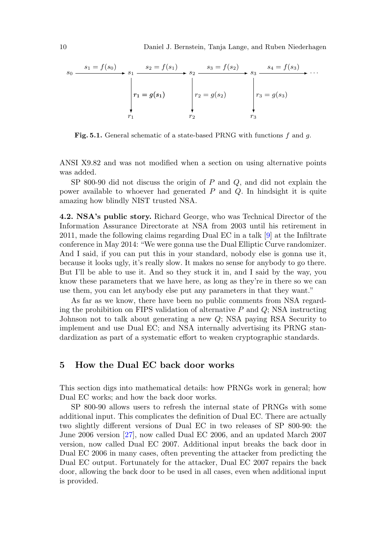$$
s_0 \xrightarrow{s_1 = f(s_0)} s_1 \xrightarrow{s_2 = f(s_1)} s_2 \xrightarrow{s_3 = f(s_2)} s_3 \xrightarrow{s_4 = f(s_3)} \cdots
$$
  
\n $r_1 = g(s_1)$   
\n $r_2 = g(s_2)$   
\n $r_3 = g(s_3)$ 

<span id="page-9-1"></span>Fig. 5.1. General schematic of a state-based PRNG with functions  $f$  and  $g$ .

ANSI X9.82 and was not modified when a section on using alternative points was added.

SP 800-90 did not discuss the origin of  $P$  and  $Q$ , and did not explain the power available to whoever had generated P and Q. In hindsight it is quite amazing how blindly NIST trusted NSA.

4.2. NSA's public story. Richard George, who was Technical Director of the Information Assurance Directorate at NSA from 2003 until his retirement in 2011, made the following claims regarding Dual EC in a talk [\[9\]](#page-23-11) at the Infiltrate conference in May 2014: "We were gonna use the Dual Elliptic Curve randomizer. And I said, if you can put this in your standard, nobody else is gonna use it, because it looks ugly, it's really slow. It makes no sense for anybody to go there. But I'll be able to use it. And so they stuck it in, and I said by the way, you know these parameters that we have here, as long as they're in there so we can use them, you can let anybody else put any parameters in that they want."

As far as we know, there have been no public comments from NSA regarding the prohibition on FIPS validation of alternative  $P$  and  $Q$ ; NSA instructing Johnson not to talk about generating a new Q; NSA paying RSA Security to implement and use Dual EC; and NSA internally advertising its PRNG standardization as part of a systematic effort to weaken cryptographic standards.

#### <span id="page-9-0"></span>5 How the Dual EC back door works

This section digs into mathematical details: how PRNGs work in general; how Dual EC works; and how the back door works.

SP 800-90 allows users to refresh the internal state of PRNGs with some additional input. This complicates the definition of Dual EC. There are actually two slightly different versions of Dual EC in two releases of SP 800-90: the June 2006 version [\[27\]](#page-24-7), now called Dual EC 2006, and an updated March 2007 version, now called Dual EC 2007. Additional input breaks the back door in Dual EC 2006 in many cases, often preventing the attacker from predicting the Dual EC output. Fortunately for the attacker, Dual EC 2007 repairs the back door, allowing the back door to be used in all cases, even when additional input is provided.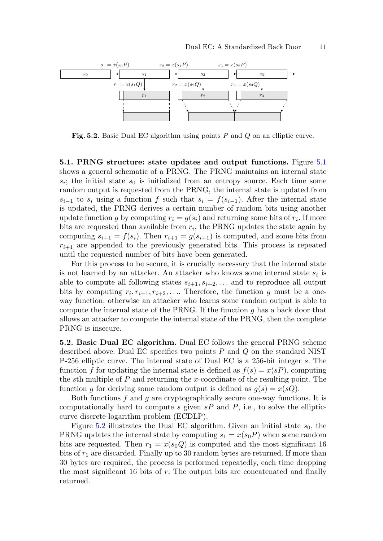

<span id="page-10-0"></span>Fig. 5.2. Basic Dual EC algorithm using points P and Q on an elliptic curve.

[5.1](#page-9-1). PRNG structure: state updates and output functions. Figure 5.1 shows a general schematic of a PRNG. The PRNG maintains an internal state  $s_i$ ; the initial state  $s_0$  is initialized from an entropy source. Each time some random output is requested from the PRNG, the internal state is updated from  $s_{i-1}$  to  $s_i$  using a function f such that  $s_i = f(s_{i-1})$ . After the internal state is updated, the PRNG derives a certain number of random bits using another update function g by computing  $r_i = g(s_i)$  and returning some bits of  $r_i$ . If more bits are requested than available from  $r_i$ , the PRNG updates the state again by computing  $s_{i+1} = f(s_i)$ . Then  $r_{i+1} = g(s_{i+1})$  is computed, and some bits from  $r_{i+1}$  are appended to the previously generated bits. This process is repeated until the requested number of bits have been generated.

For this process to be secure, it is crucially necessary that the internal state is not learned by an attacker. An attacker who knows some internal state  $s_i$  is able to compute all following states  $s_{i+1}, s_{i+2}, \ldots$  and to reproduce all output bits by computing  $r_i, r_{i+1}, r_{i+2}, \ldots$  Therefore, the function g must be a oneway function; otherwise an attacker who learns some random output is able to compute the internal state of the PRNG. If the function  $q$  has a back door that allows an attacker to compute the internal state of the PRNG, then the complete PRNG is insecure.

5.2. Basic Dual EC algorithm. Dual EC follows the general PRNG scheme described above. Dual EC specifies two points  $P$  and  $Q$  on the standard NIST P-256 elliptic curve. The internal state of Dual EC is a 256-bit integer s. The function f for updating the internal state is defined as  $f(s) = x(sP)$ , computing the sth multiple of P and returning the x-coordinate of the resulting point. The function g for deriving some random output is defined as  $g(s) = x(sQ)$ .

Both functions  $f$  and  $g$  are cryptographically secure one-way functions. It is computationally hard to compute  $s$  given  $sP$  and  $P$ , i.e., to solve the ellipticcurve discrete-logarithm problem (ECDLP).

Figure [5.2](#page-10-0) illustrates the Dual EC algorithm. Given an initial state  $s_0$ , the PRNG updates the internal state by computing  $s_1 = x(s_0 P)$  when some random bits are requested. Then  $r_1 = x(s_0 Q)$  is computed and the most significant 16 bits of  $r_1$  are discarded. Finally up to 30 random bytes are returned. If more than 30 bytes are required, the process is performed repeatedly, each time dropping the most significant 16 bits of  $r$ . The output bits are concatenated and finally returned.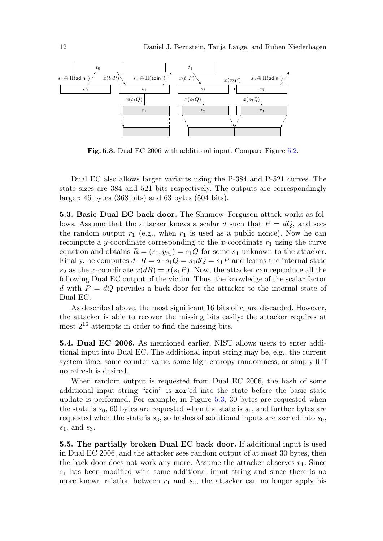

<span id="page-11-0"></span>Fig. 5.3. Dual EC 2006 with additional input. Compare Figure [5.2.](#page-10-0)

Dual EC also allows larger variants using the P-384 and P-521 curves. The state sizes are 384 and 521 bits respectively. The outputs are correspondingly larger: 46 bytes (368 bits) and 63 bytes (504 bits).

5.3. Basic Dual EC back door. The Shumow–Ferguson attack works as follows. Assume that the attacker knows a scalar d such that  $P = dQ$ , and sees the random output  $r_1$  (e.g., when  $r_1$  is used as a public nonce). Now he can recompute a y-coordinate corresponding to the x-coordinate  $r_1$  using the curve equation and obtains  $R = (r_1, y_{r_1}) = s_1 Q$  for some  $s_1$  unknown to the attacker. Finally, he computes  $d \cdot R = d \cdot s_1 Q = s_1 dQ = s_1 P$  and learns the internal state  $s_2$  as the x-coordinate  $x(dR) = x(s_1P)$ . Now, the attacker can reproduce all the following Dual EC output of the victim. Thus, the knowledge of the scalar factor d with  $P = dQ$  provides a back door for the attacker to the internal state of Dual EC.

As described above, the most significant 16 bits of  $r_i$  are discarded. However, the attacker is able to recover the missing bits easily: the attacker requires at most  $2^{16}$  attempts in order to find the missing bits.

5.4. Dual EC 2006. As mentioned earlier, NIST allows users to enter additional input into Dual EC. The additional input string may be, e.g., the current system time, some counter value, some high-entropy randomness, or simply 0 if no refresh is desired.

When random output is requested from Dual EC 2006, the hash of some additional input string "adin" is xor'ed into the state before the basic state update is performed. For example, in Figure [5.3,](#page-11-0) 30 bytes are requested when the state is  $s_0$ , 60 bytes are requested when the state is  $s_1$ , and further bytes are requested when the state is  $s_3$ , so hashes of additional inputs are xor'ed into  $s_0$ ,  $s_1$ , and  $s_3$ .

5.5. The partially broken Dual EC back door. If additional input is used in Dual EC 2006, and the attacker sees random output of at most 30 bytes, then the back door does not work any more. Assume the attacker observes  $r_1$ . Since  $s<sub>1</sub>$  has been modified with some additional input string and since there is no more known relation between  $r_1$  and  $s_2$ , the attacker can no longer apply his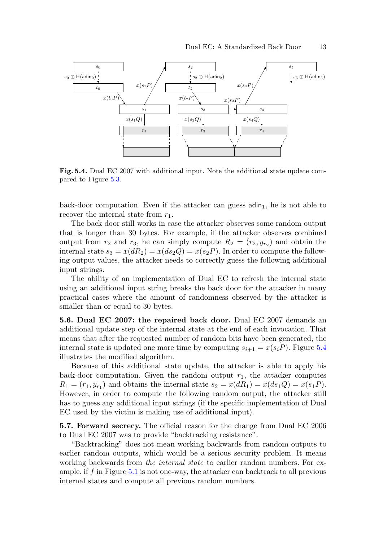

<span id="page-12-0"></span>Fig. 5.4. Dual EC 2007 with additional input. Note the additional state update compared to Figure [5.3.](#page-11-0)

back-door computation. Even if the attacker can guess  $\text{adin}_1$ , he is not able to recover the internal state from  $r_1$ .

The back door still works in case the attacker observes some random output that is longer than 30 bytes. For example, if the attacker observes combined output from  $r_2$  and  $r_3$ , he can simply compute  $R_2 = (r_2, y_{r_2})$  and obtain the internal state  $s_3 = x(dR_2) = x(ds_2Q) = x(s_2P)$ . In order to compute the following output values, the attacker needs to correctly guess the following additional input strings.

The ability of an implementation of Dual EC to refresh the internal state using an additional input string breaks the back door for the attacker in many practical cases where the amount of randomness observed by the attacker is smaller than or equal to 30 bytes.

5.6. Dual EC 2007: the repaired back door. Dual EC 2007 demands an additional update step of the internal state at the end of each invocation. That means that after the requested number of random bits have been generated, the internal state is updated one more time by computing  $s_{i+1} = x(s_i, P)$ . Figure [5.4](#page-12-0) illustrates the modified algorithm.

Because of this additional state update, the attacker is able to apply his back-door computation. Given the random output  $r_1$ , the attacker computes  $R_1 = (r_1, y_{r_1})$  and obtains the internal state  $s_2 = x(dR_1) = x(ds_1Q) = x(s_1P)$ . However, in order to compute the following random output, the attacker still has to guess any additional input strings (if the specific implementation of Dual EC used by the victim is making use of additional input).

5.7. Forward secrecy. The official reason for the change from Dual EC 2006 to Dual EC 2007 was to provide "backtracking resistance".

"Backtracking" does not mean working backwards from random outputs to earlier random outputs, which would be a serious security problem. It means working backwards from *the internal state* to earlier random numbers. For example, if f in Figure [5.1](#page-9-1) is not one-way, the attacker can backtrack to all previous internal states and compute all previous random numbers.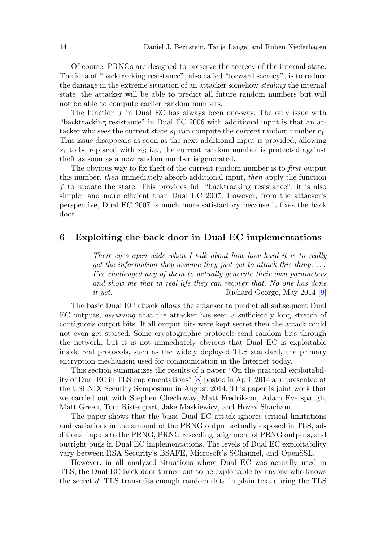Of course, PRNGs are designed to preserve the secrecy of the internal state. The idea of "backtracking resistance", also called "forward secrecy", is to reduce the damage in the extreme situation of an attacker somehow stealing the internal state: the attacker will be able to predict all future random numbers but will not be able to compute earlier random numbers.

The function  $f$  in Dual EC has always been one-way. The only issue with "backtracking resistance" in Dual EC 2006 with additional input is that an attacker who sees the current state  $s_1$  can compute the *current* random number  $r_1$ . This issue disappears as soon as the next additional input is provided, allowing  $s_1$  to be replaced with  $s_2$ ; i.e., the current random number is protected against theft as soon as a new random number is generated.

The obvious way to fix the ft of the current random number is to *first* output this number, then immediately absorb additional input, then apply the function f to update the state. This provides full "backtracking resistance"; it is also simpler and more efficient than Dual EC 2007. However, from the attacker's perspective, Dual EC 2007 is much more satisfactory because it fixes the back door.

#### <span id="page-13-0"></span>6 Exploiting the back door in Dual EC implementations

Their eyes open wide when I talk about how how hard it is to really get the information they assume they just get to attack this thing. . . . I've challenged any of them to actually generate their own parameters and show me that in real life they can recover that. No one has done it yet.  $\qquad \qquad -\text{Richard George, May 2014 [9]}$  $\qquad \qquad -\text{Richard George, May 2014 [9]}$  $\qquad \qquad -\text{Richard George, May 2014 [9]}$ 

The basic Dual EC attack allows the attacker to predict all subsequent Dual EC outputs, assuming that the attacker has seen a sufficiently long stretch of contiguous output bits. If all output bits were kept secret then the attack could not even get started. Some cryptographic protocols send random bits through the network, but it is not immediately obvious that Dual EC is exploitable inside real protocols, such as the widely deployed TLS standard, the primary encryption mechanism used for communication in the Internet today.

This section summarizes the results of a paper "On the practical exploitability of Dual EC in TLS implementations" [\[8\]](#page-23-12) posted in April 2014 and presented at the USENIX Security Symposium in August 2014. This paper is joint work that we carried out with Stephen Checkoway, Matt Fredrikson, Adam Everspaugh, Matt Green, Tom Ristenpart, Jake Maskiewicz, and Hovav Shacham.

The paper shows that the basic Dual EC attack ignores critical limitations and variations in the amount of the PRNG output actually exposed in TLS, additional inputs to the PRNG, PRNG reseeding, alignment of PRNG outputs, and outright bugs in Dual EC implementations. The levels of Dual EC exploitability vary between RSA Security's BSAFE, Microsoft's SChannel, and OpenSSL.

However, in all analyzed situations where Dual EC was actually used in TLS, the Dual EC back door turned out to be exploitable by anyone who knows the secret d. TLS transmits enough random data in plain text during the TLS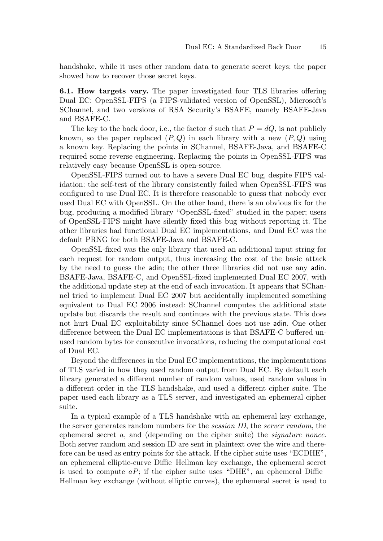handshake, while it uses other random data to generate secret keys; the paper showed how to recover those secret keys.

6.1. How targets vary. The paper investigated four TLS libraries offering Dual EC: OpenSSL-FIPS (a FIPS-validated version of OpenSSL), Microsoft's SChannel, and two versions of RSA Security's BSAFE, namely BSAFE-Java and BSAFE-C.

The key to the back door, i.e., the factor d such that  $P = dQ$ , is not publicly known, so the paper replaced  $(P,Q)$  in each library with a new  $(P,Q)$  using a known key. Replacing the points in SChannel, BSAFE-Java, and BSAFE-C required some reverse engineering. Replacing the points in OpenSSL-FIPS was relatively easy because OpenSSL is open-source.

OpenSSL-FIPS turned out to have a severe Dual EC bug, despite FIPS validation: the self-test of the library consistently failed when OpenSSL-FIPS was configured to use Dual EC. It is therefore reasonable to guess that nobody ever used Dual EC with OpenSSL. On the other hand, there is an obvious fix for the bug, producing a modified library "OpenSSL-fixed" studied in the paper; users of OpenSSL-FIPS might have silently fixed this bug without reporting it. The other libraries had functional Dual EC implementations, and Dual EC was the default PRNG for both BSAFE-Java and BSAFE-C.

OpenSSL-fixed was the only library that used an additional input string for each request for random output, thus increasing the cost of the basic attack by the need to guess the adin; the other three libraries did not use any adin. BSAFE-Java, BSAFE-C, and OpenSSL-fixed implemented Dual EC 2007, with the additional update step at the end of each invocation. It appears that SChannel tried to implement Dual EC 2007 but accidentally implemented something equivalent to Dual EC 2006 instead: SChannel computes the additional state update but discards the result and continues with the previous state. This does not hurt Dual EC exploitability since SChannel does not use adin. One other difference between the Dual EC implementations is that BSAFE-C buffered unused random bytes for consecutive invocations, reducing the computational cost of Dual EC.

Beyond the differences in the Dual EC implementations, the implementations of TLS varied in how they used random output from Dual EC. By default each library generated a different number of random values, used random values in a different order in the TLS handshake, and used a different cipher suite. The paper used each library as a TLS server, and investigated an ephemeral cipher suite.

In a typical example of a TLS handshake with an ephemeral key exchange, the server generates random numbers for the *session ID*, the *server random*, the ephemeral secret a, and (depending on the cipher suite) the signature nonce. Both server random and session ID are sent in plaintext over the wire and therefore can be used as entry points for the attack. If the cipher suite uses "ECDHE", an ephemeral elliptic-curve Diffie–Hellman key exchange, the ephemeral secret is used to compute  $aP$ ; if the cipher suite uses "DHE", an ephemeral Diffie-Hellman key exchange (without elliptic curves), the ephemeral secret is used to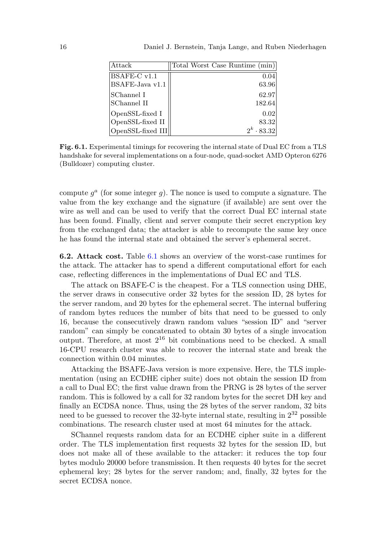16 Daniel J. Bernstein, Tanja Lange, and Ruben Niederhagen

| Attack            | Total Worst Case Runtime (min) |
|-------------------|--------------------------------|
| BSAFE-C v1.1      |                                |
| BSAFE-Java v1.1   | 63.96                          |
| SChannel I        | 62.97                          |
| SChannel II       | 182.64                         |
| OpenSSL-fixed I   | 0.02                           |
| OpenSSL-fixed II  | 83.32                          |
| OpenSSL-fixed III | $2^k \cdot 83.32$              |

Fig. 6.1. Experimental timings for recovering the internal state of Dual EC from a TLS handshake for several implementations on a four-node, quad-socket AMD Opteron 6276 (Bulldozer) computing cluster.

compute  $g^a$  (for some integer g). The nonce is used to compute a signature. The value from the key exchange and the signature (if available) are sent over the wire as well and can be used to verify that the correct Dual EC internal state has been found. Finally, client and server compute their secret encryption key from the exchanged data; the attacker is able to recompute the same key once he has found the internal state and obtained the server's ephemeral secret.

6.2. Attack cost. Table [6.1](#page-9-1) shows an overview of the worst-case runtimes for the attack. The attacker has to spend a different computational effort for each case, reflecting differences in the implementations of Dual EC and TLS.

The attack on BSAFE-C is the cheapest. For a TLS connection using DHE, the server draws in consecutive order 32 bytes for the session ID, 28 bytes for the server random, and 20 bytes for the ephemeral secret. The internal buffering of random bytes reduces the number of bits that need to be guessed to only 16, because the consecutively drawn random values "session ID" and "server random" can simply be concatenated to obtain 30 bytes of a single invocation output. Therefore, at most  $2^{16}$  bit combinations need to be checked. A small 16-CPU research cluster was able to recover the internal state and break the connection within 0.04 minutes.

Attacking the BSAFE-Java version is more expensive. Here, the TLS implementation (using an ECDHE cipher suite) does not obtain the session ID from a call to Dual EC; the first value drawn from the PRNG is 28 bytes of the server random. This is followed by a call for 32 random bytes for the secret DH key and finally an ECDSA nonce. Thus, using the 28 bytes of the server random, 32 bits need to be guessed to recover the 32-byte internal state, resulting in  $2^{32}$  possible combinations. The research cluster used at most 64 minutes for the attack.

SChannel requests random data for an ECDHE cipher suite in a different order. The TLS implementation first requests 32 bytes for the session ID, but does not make all of these available to the attacker: it reduces the top four bytes modulo 20000 before transmission. It then requests 40 bytes for the secret ephemeral key; 28 bytes for the server random; and, finally, 32 bytes for the secret ECDSA nonce.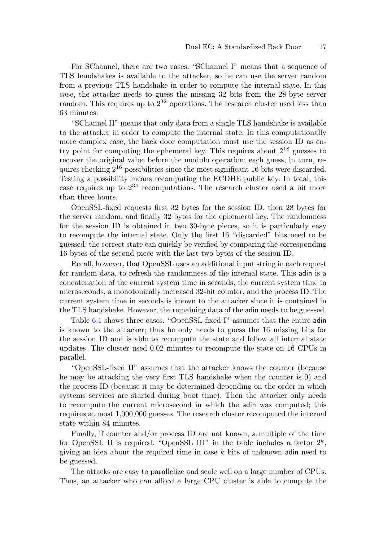For SChannel, there are two cases. "SChannel I" means that a sequence of TLS handshakes is available to the attacker, so he can use the server random from a previous TLS handshake in order to compute the internal state. In this case, the attacker needs to guess the missing 32 bits from the 28-byte server random. This requires up to  $2^{32}$  operations. The research cluster used less than 63 minutes.

"SChannel II" means that only data from a single TLS handshake is available to the attacker in order to compute the internal state. In this computationally more complex case, the back door computation must use the session ID as entry point for computing the ephemeral key. This requires about  $2^{18}$  guesses to recover the original value before the modulo operation; each guess, in turn, requires checking  $2^{16}$  possibilities since the most significant 16 bits were discarded. Testing a possibility means recomputing the ECDHE public key. In total, this case requires up to  $2^{34}$  recomputations. The research cluster used a bit more than three hours.

OpenSSL-fixed requests first 32 bytes for the session ID, then 28 bytes for the server random, and finally 32 bytes for the ephemeral key. The randomness for the session ID is obtained in two 30-byte pieces, so it is particularly easy to recompute the internal state. Only the first 16 "discarded" bits need to be guessed; the correct state can quickly be verified by comparing the corresponding 16 bytes of the second piece with the last two bytes of the session ID.

Recall, however, that OpenSSL uses an additional input string in each request for random data, to refresh the randomness of the internal state. This adin is a concatenation of the current system time in seconds, the current system time in microseconds, a monotonically increased 32-bit counter, and the process ID. The current system time in seconds is known to the attacker since it is contained in the TLS handshake. However, the remaining data of the adin needs to be guessed.

Table [6.1](#page-9-1) shows three cases. "OpenSSL-fixed I" assumes that the entire adin is known to the attacker; thus he only needs to guess the 16 missing bits for the session ID and is able to recompute the state and follow all internal state updates. The cluster used 0.02 minutes to recompute the state on 16 CPUs in parallel.

"OpenSSL-fixed II" assumes that the attacker knows the counter (because he may be attacking the very first TLS handshake when the counter is 0) and the process ID (because it may be determined depending on the order in which systems services are started during boot time). Then the attacker only needs to recompute the current microsecond in which the adin was computed; this requires at most 1,000,000 guesses. The research cluster recomputed the internal state within 84 minutes.

Finally, if counter and/or process ID are not known, a multiple of the time for OpenSSL II is required. "OpenSSL III" in the table includes a factor  $2^k$ , giving an idea about the required time in case  $k$  bits of unknown adin need to be guessed.

The attacks are easy to parallelize and scale well on a large number of CPUs. Thus, an attacker who can afford a large CPU cluster is able to compute the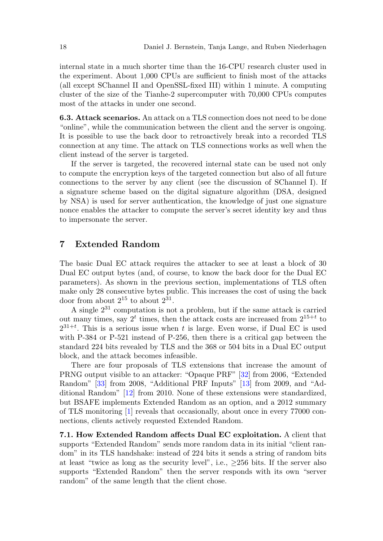internal state in a much shorter time than the 16-CPU research cluster used in the experiment. About 1,000 CPUs are sufficient to finish most of the attacks (all except SChannel II and OpenSSL-fixed III) within 1 minute. A computing cluster of the size of the Tianhe-2 supercomputer with 70,000 CPUs computes most of the attacks in under one second.

6.3. Attack scenarios. An attack on a TLS connection does not need to be done "online", while the communication between the client and the server is ongoing. It is possible to use the back door to retroactively break into a recorded TLS connection at any time. The attack on TLS connections works as well when the client instead of the server is targeted.

If the server is targeted, the recovered internal state can be used not only to compute the encryption keys of the targeted connection but also of all future connections to the server by any client (see the discussion of SChannel I). If a signature scheme based on the digital signature algorithm (DSA, designed by NSA) is used for server authentication, the knowledge of just one signature nonce enables the attacker to compute the server's secret identity key and thus to impersonate the server.

## <span id="page-17-0"></span>7 Extended Random

The basic Dual EC attack requires the attacker to see at least a block of 30 Dual EC output bytes (and, of course, to know the back door for the Dual EC parameters). As shown in the previous section, implementations of TLS often make only 28 consecutive bytes public. This increases the cost of using the back door from about  $2^{15}$  to about  $2^{31}$ .

A single  $2^{31}$  computation is not a problem, but if the same attack is carried out many times, say  $2^t$  times, then the attack costs are increased from  $2^{15+t}$  to  $2^{31+t}$ . This is a serious issue when t is large. Even worse, if Dual EC is used with P-384 or P-521 instead of P-256, then there is a critical gap between the standard 224 bits revealed by TLS and the 368 or 504 bits in a Dual EC output block, and the attack becomes infeasible.

There are four proposals of TLS extensions that increase the amount of PRNG output visible to an attacker: "Opaque PRF" [\[32\]](#page-24-9) from 2006, "Extended Random" [\[33\]](#page-24-10) from 2008, "Additional PRF Inputs" [\[13\]](#page-23-13) from 2009, and "Additional Random" [\[12\]](#page-23-14) from 2010. None of these extensions were standardized, but BSAFE implements Extended Random as an option, and a 2012 summary of TLS monitoring [\[1\]](#page-22-2) reveals that occasionally, about once in every 77000 connections, clients actively requested Extended Random.

7.1. How Extended Random affects Dual EC exploitation. A client that supports "Extended Random" sends more random data in its initial "client random" in its TLS handshake: instead of 224 bits it sends a string of random bits at least "twice as long as the security level", i.e., ≥256 bits. If the server also supports "Extended Random" then the server responds with its own "server random" of the same length that the client chose.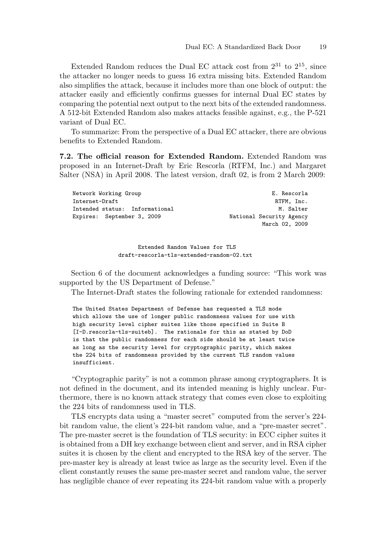Extended Random reduces the Dual EC attack cost from  $2^{31}$  to  $2^{15}$ , since the attacker no longer needs to guess 16 extra missing bits. Extended Random also simplifies the attack, because it includes more than one block of output: the attacker easily and efficiently confirms guesses for internal Dual EC states by comparing the potential next output to the next bits of the extended randomness. A 512-bit Extended Random also makes attacks feasible against, e.g., the P-521 variant of Dual EC.

To summarize: From the perspective of a Dual EC attacker, there are obvious benefits to Extended Random.

7.2. The official reason for Extended Random. Extended Random was proposed in an Internet-Draft by Eric Rescorla (RTFM, Inc.) and Margaret Salter (NSA) in April 2008. The latest version, draft 02, is from 2 March 2009:

| Network Working Group          | E. Rescorla              |
|--------------------------------|--------------------------|
| Internet-Draft                 | RTFM, Inc.               |
| Intended status: Informational | M. Salter                |
| Expires: September 3, 2009     | National Security Agency |
|                                | March 02, 2009           |

Extended Random Values for TLS draft-rescorla-tls-extended-random-02.txt

Section 6 of the document acknowledges a funding source: "This work was supported by the US Department of Defense."

The Internet-Draft states the following rationale for extended randomness:

The United States Department of Defense has requested a TLS mode which allows the use of longer public randomness values for use with high security level cipher suites like those specified in Suite B [I-D.rescorla-tls-suiteb]. The rationale for this as stated by DoD is that the public randomness for each side should be at least twice as long as the security level for cryptographic parity, which makes the 224 bits of randomness provided by the current TLS random values insufficient.

"Cryptographic parity" is not a common phrase among cryptographers. It is not defined in the document, and its intended meaning is highly unclear. Furthermore, there is no known attack strategy that comes even close to exploiting the 224 bits of randomness used in TLS.

TLS encrypts data using a "master secret" computed from the server's 224 bit random value, the client's 224-bit random value, and a "pre-master secret". The pre-master secret is the foundation of TLS security: in ECC cipher suites it is obtained from a DH key exchange between client and server, and in RSA cipher suites it is chosen by the client and encrypted to the RSA key of the server. The pre-master key is already at least twice as large as the security level. Even if the client constantly reuses the same pre-master secret and random value, the server has negligible chance of ever repeating its 224-bit random value with a properly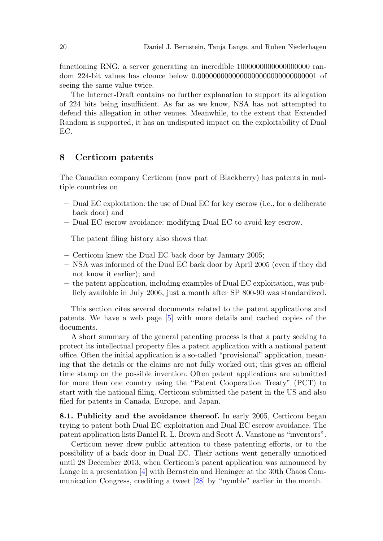functioning RNG: a server generating an incredible 1000000000000000000 random 224-bit values has chance below 0.0000000000000000000000000000001 of seeing the same value twice.

The Internet-Draft contains no further explanation to support its allegation of 224 bits being insufficient. As far as we know, NSA has not attempted to defend this allegation in other venues. Meanwhile, to the extent that Extended Random is supported, it has an undisputed impact on the exploitability of Dual EC.

## <span id="page-19-0"></span>8 Certicom patents

The Canadian company Certicom (now part of Blackberry) has patents in multiple countries on

- Dual EC exploitation: the use of Dual EC for key escrow (i.e., for a deliberate back door) and
- Dual EC escrow avoidance: modifying Dual EC to avoid key escrow.

The patent filing history also shows that

- Certicom knew the Dual EC back door by January 2005;
- NSA was informed of the Dual EC back door by April 2005 (even if they did not know it earlier); and
- the patent application, including examples of Dual EC exploitation, was publicly available in July 2006, just a month after SP 800-90 was standardized.

This section cites several documents related to the patent applications and patents. We have a web page [\[5\]](#page-22-3) with more details and cached copies of the documents.

A short summary of the general patenting process is that a party seeking to protect its intellectual property files a patent application with a national patent office. Often the initial application is a so-called "provisional" application, meaning that the details or the claims are not fully worked out; this gives an official time stamp on the possible invention. Often patent applications are submitted for more than one country using the "Patent Cooperation Treaty" (PCT) to start with the national filing. Certicom submitted the patent in the US and also filed for patents in Canada, Europe, and Japan.

8.1. Publicity and the avoidance thereof. In early 2005, Certicom began trying to patent both Dual EC exploitation and Dual EC escrow avoidance. The patent application lists Daniel R. L. Brown and Scott A. Vanstone as "inventors".

Certicom never drew public attention to these patenting efforts, or to the possibility of a back door in Dual EC. Their actions went generally unnoticed until 28 December 2013, when Certicom's patent application was announced by Lange in a presentation [\[4\]](#page-22-4) with Bernstein and Heninger at the 30th Chaos Communication Congress, crediting a tweet [\[28\]](#page-24-11) by "nymble" earlier in the month.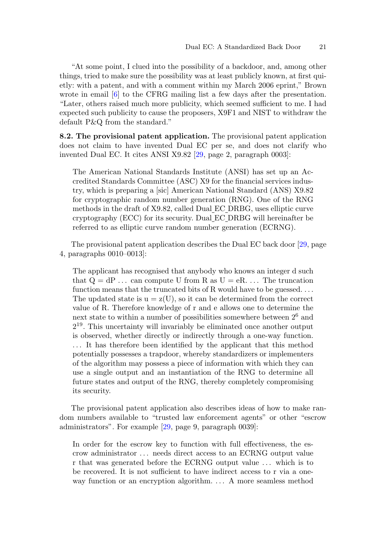"At some point, I clued into the possibility of a backdoor, and, among other things, tried to make sure the possibility was at least publicly known, at first quietly: with a patent, and with a comment within my March 2006 eprint," Brown wrote in email [\[6\]](#page-23-15) to the CFRG mailing list a few days after the presentation. "Later, others raised much more publicity, which seemed sufficient to me. I had expected such publicity to cause the proposers, X9F1 and NIST to withdraw the default P&Q from the standard."

8.2. The provisional patent application. The provisional patent application does not claim to have invented Dual EC per se, and does not clarify who invented Dual EC. It cites ANSI X9.82 [\[29,](#page-24-12) page 2, paragraph 0003]:

The American National Standards Institute (ANSI) has set up an Accredited Standards Committee (ASC) X9 for the financial services industry, which is preparing a [sic] American National Standard (ANS) X9.82 for cryptographic random number generation (RNG). One of the RNG methods in the draft of X9.82, called Dual EC DRBG, uses elliptic curve cryptography (ECC) for its security. Dual EC DRBG will hereinafter be referred to as elliptic curve random number generation (ECRNG).

The provisional patent application describes the Dual EC back door [\[29,](#page-24-12) page 4, paragraphs 0010–0013]:

The applicant has recognised that anybody who knows an integer d such that  $Q = dP$ ... can compute U from R as  $U = eR$ .... The truncation function means that the truncated bits of R would have to be guessed... The updated state is  $u = z(U)$ , so it can be determined from the correct value of R. Therefore knowledge of r and e allows one to determine the next state to within a number of possibilities somewhere between  $2<sup>6</sup>$  and  $2^{19}$ . This uncertainty will invariably be eliminated once another output is observed, whether directly or indirectly through a one-way function. . . . It has therefore been identified by the applicant that this method potentially possesses a trapdoor, whereby standardizers or implementers of the algorithm may possess a piece of information with which they can use a single output and an instantiation of the RNG to determine all future states and output of the RNG, thereby completely compromising its security.

The provisional patent application also describes ideas of how to make random numbers available to "trusted law enforcement agents" or other "escrow administrators". For example [\[29,](#page-24-12) page 9, paragraph 0039]:

In order for the escrow key to function with full effectiveness, the escrow administrator . . . needs direct access to an ECRNG output value r that was generated before the ECRNG output value ... which is to be recovered. It is not sufficient to have indirect access to r via a oneway function or an encryption algorithm. ... A more seamless method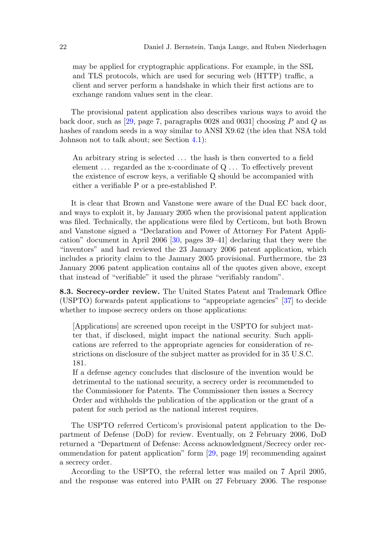may be applied for cryptographic applications. For example, in the SSL and TLS protocols, which are used for securing web (HTTP) traffic, a client and server perform a handshake in which their first actions are to exchange random values sent in the clear.

The provisional patent application also describes various ways to avoid the back door, such as [\[29,](#page-24-12) page 7, paragraphs 0028 and 0031] choosing  $P$  and  $Q$  as hashes of random seeds in a way similar to ANSI X9.62 (the idea that NSA told Johnson not to talk about; see Section [4.1\)](#page-7-0):

An arbitrary string is selected . . . the hash is then converted to a field element  $\ldots$  regarded as the x-coordinate of Q  $\ldots$  To effectively prevent the existence of escrow keys, a verifiable Q should be accompanied with either a verifiable P or a pre-established P.

It is clear that Brown and Vanstone were aware of the Dual EC back door, and ways to exploit it, by January 2005 when the provisional patent application was filed. Technically, the applications were filed by Certicom, but both Brown and Vanstone signed a "Declaration and Power of Attorney For Patent Application" document in April 2006 [\[30,](#page-24-13) pages 39–41] declaring that they were the "inventors" and had reviewed the 23 January 2006 patent application, which includes a priority claim to the January 2005 provisional. Furthermore, the 23 January 2006 patent application contains all of the quotes given above, except that instead of "verifiable" it used the phrase "verifiably random".

8.3. Secrecy-order review. The United States Patent and Trademark Office (USPTO) forwards patent applications to "appropriate agencies" [\[37\]](#page-24-14) to decide whether to impose secrecy orders on those applications:

[Applications] are screened upon receipt in the USPTO for subject matter that, if disclosed, might impact the national security. Such applications are referred to the appropriate agencies for consideration of restrictions on disclosure of the subject matter as provided for in 35 U.S.C. 181.

If a defense agency concludes that disclosure of the invention would be detrimental to the national security, a secrecy order is recommended to the Commissioner for Patents. The Commissioner then issues a Secrecy Order and withholds the publication of the application or the grant of a patent for such period as the national interest requires.

The USPTO referred Certicom's provisional patent application to the Department of Defense (DoD) for review. Eventually, on 2 February 2006, DoD returned a "Department of Defense: Access acknowledgment/Secrecy order recommendation for patent application" form [\[29,](#page-24-12) page 19] recommending against a secrecy order.

According to the USPTO, the referral letter was mailed on 7 April 2005, and the response was entered into PAIR on 27 February 2006. The response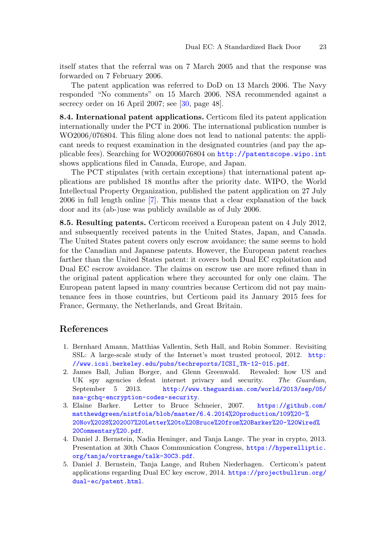itself states that the referral was on 7 March 2005 and that the response was forwarded on 7 February 2006.

The patent application was referred to DoD on 13 March 2006. The Navy responded "No comments" on 15 March 2006. NSA recommended against a secrecy order on 16 April 2007; see [\[30,](#page-24-13) page 48].

8.4. International patent applications. Certicom filed its patent application internationally under the PCT in 2006. The international publication number is WO2006/076804. This filing alone does not lead to national patents: the applicant needs to request examination in the designated countries (and pay the applicable fees). Searching for WO2006076804 on <http://patentscope.wipo.int> shows applications filed in Canada, Europe, and Japan.

The PCT stipulates (with certain exceptions) that international patent applications are published 18 months after the priority date. WIPO, the World Intellectual Property Organization, published the patent application on 27 July 2006 in full length online [\[7\]](#page-23-16). This means that a clear explanation of the back door and its (ab-)use was publicly available as of July 2006.

8.5. Resulting patents. Certicom received a European patent on 4 July 2012, and subsequently received patents in the United States, Japan, and Canada. The United States patent covers only escrow avoidance; the same seems to hold for the Canadian and Japanese patents. However, the European patent reaches farther than the United States patent: it covers both Dual EC exploitation and Dual EC escrow avoidance. The claims on escrow use are more refined than in the original patent application where they accounted for only one claim. The European patent lapsed in many countries because Certicom did not pay maintenance fees in those countries, but Certicom paid its January 2015 fees for France, Germany, the Netherlands, and Great Britain.

## References

- <span id="page-22-2"></span>1. Bernhard Amann, Matthias Vallentin, Seth Hall, and Robin Sommer. Revisiting SSL: A large-scale study of the Internet's most trusted protocol, 2012. [http:](http://www.icsi.berkeley.edu/pubs/techreports/ICSI_TR-12-015.pdf) [//www.icsi.berkeley.edu/pubs/techreports/ICSI\\_TR-12-015.pdf](http://www.icsi.berkeley.edu/pubs/techreports/ICSI_TR-12-015.pdf).
- <span id="page-22-0"></span>2. James Ball, Julian Borger, and Glenn Greenwald. Revealed: how US and UK spy agencies defeat internet privacy and security. The Guardian, September 5 2013. [http://www.theguardian.com/world/2013/sep/05/](http://www.theguardian.com/world/2013/sep/05/nsa-gchq-encryption-codes-security) [nsa-gchq-encryption-codes-security](http://www.theguardian.com/world/2013/sep/05/nsa-gchq-encryption-codes-security).
- <span id="page-22-1"></span>3. Elaine Barker. Letter to Bruce Schneier, 2007. [https://github.com/](https://github.com/matthewdgreen/nistfoia/blob/master/6.4.2014%20production/109%20-%20Nov%2028%202007%20Letter%20to%20Bruce%20from%20Barker%20-%20Wired%20Commentary%20.pdf) [matthewdgreen/nistfoia/blob/master/6.4.2014%20production/109%20-%](https://github.com/matthewdgreen/nistfoia/blob/master/6.4.2014%20production/109%20-%20Nov%2028%202007%20Letter%20to%20Bruce%20from%20Barker%20-%20Wired%20Commentary%20.pdf) [20Nov%2028%202007%20Letter%20to%20Bruce%20from%20Barker%20-%20Wired%](https://github.com/matthewdgreen/nistfoia/blob/master/6.4.2014%20production/109%20-%20Nov%2028%202007%20Letter%20to%20Bruce%20from%20Barker%20-%20Wired%20Commentary%20.pdf) [20Commentary%20.pdf](https://github.com/matthewdgreen/nistfoia/blob/master/6.4.2014%20production/109%20-%20Nov%2028%202007%20Letter%20to%20Bruce%20from%20Barker%20-%20Wired%20Commentary%20.pdf).
- <span id="page-22-4"></span>4. Daniel J. Bernstein, Nadia Heninger, and Tanja Lange. The year in crypto, 2013. Presentation at 30th Chaos Communication Congress, [https://hyperelliptic.](https://hyperelliptic.org/tanja/vortraege/talk-30C3.pdf) [org/tanja/vortraege/talk-30C3.pdf](https://hyperelliptic.org/tanja/vortraege/talk-30C3.pdf).
- <span id="page-22-3"></span>5. Daniel J. Bernstein, Tanja Lange, and Ruben Niederhagen. Certicom's patent applications regarding Dual EC key escrow, 2014. [https://projectbullrun.org/](https://projectbullrun.org/dual-ec/patent.html) [dual-ec/patent.html](https://projectbullrun.org/dual-ec/patent.html).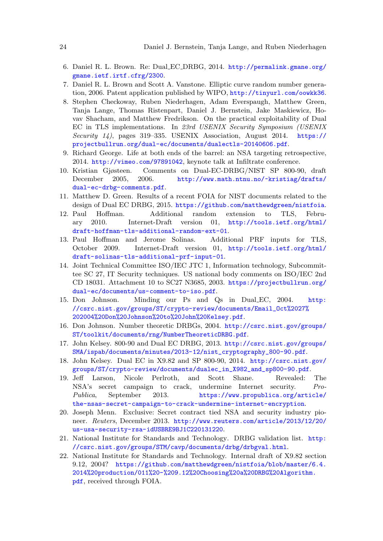- <span id="page-23-15"></span>6. Daniel R. L. Brown. Re: Dual EC DRBG, 2014. [http://permalink.gmane.org/](http://permalink.gmane.org/gmane.ietf.irtf.cfrg/2300) [gmane.ietf.irtf.cfrg/2300](http://permalink.gmane.org/gmane.ietf.irtf.cfrg/2300).
- <span id="page-23-16"></span>7. Daniel R. L. Brown and Scott A. Vanstone. Elliptic curve random number generation, 2006. Patent application published by WIPO, <http://tinyurl.com/oowkk36>.
- <span id="page-23-12"></span>8. Stephen Checkoway, Ruben Niederhagen, Adam Everspaugh, Matthew Green, Tanja Lange, Thomas Ristenpart, Daniel J. Bernstein, Jake Maskiewicz, Hovav Shacham, and Matthew Fredrikson. On the practical exploitability of Dual EC in TLS implementations. In 23rd USENIX Security Symposium (USENIX Security 14), pages 319-335. USENIX Association, August 2014. [https://](https://projectbullrun.org/dual-ec/documents/dualectls-20140606.pdf) [projectbullrun.org/dual-ec/documents/dualectls-20140606.pdf](https://projectbullrun.org/dual-ec/documents/dualectls-20140606.pdf).
- <span id="page-23-11"></span>9. Richard George. Life at both ends of the barrel: an NSA targeting retrospective, 2014. <http://vimeo.com/97891042>, keynote talk at Infiltrate conference.
- <span id="page-23-6"></span>10. Kristian Gjøsteen. Comments on Dual-EC-DRBG/NIST SP 800-90, draft December 2005, 2006. [http://www.math.ntnu.no/~kristiag/drafts/](http://www.math.ntnu.no/~kristiag/drafts/dual-ec-drbg-comments.pdf) [dual-ec-drbg-comments.pdf](http://www.math.ntnu.no/~kristiag/drafts/dual-ec-drbg-comments.pdf).
- <span id="page-23-3"></span>11. Matthew D. Green. Results of a recent FOIA for NIST documents related to the design of Dual EC DRBG, 2015. <https://github.com/matthewdgreen/nistfoia>.
- <span id="page-23-14"></span>12. Paul Hoffman. Additional random extension to TLS, February 2010. Internet-Draft version 01, [http://tools.ietf.org/html/](http://tools.ietf.org/html/draft-hoffman-tls-additional-random-ext-01) [draft-hoffman-tls-additional-random-ext-01](http://tools.ietf.org/html/draft-hoffman-tls-additional-random-ext-01).
- <span id="page-23-13"></span>13. Paul Hoffman and Jerome Solinas. Additional PRF inputs for TLS, October 2009. Internet-Draft version 01, [http://tools.ietf.org/html/](http://tools.ietf.org/html/draft-solinas-tls-additional-prf-input-01) [draft-solinas-tls-additional-prf-input-01](http://tools.ietf.org/html/draft-solinas-tls-additional-prf-input-01).
- <span id="page-23-9"></span>14. Joint Technical Committee ISO/IEC JTC 1, Information technology, Subcommittee SC 27, IT Security techniques. US national body comments on ISO/IEC 2nd CD 18031. Attachment 10 to SC27 N3685, 2003. [https://projectbullrun.org/](https://projectbullrun.org/dual-ec/documents/us-comment-to-iso.pdf) [dual-ec/documents/us-comment-to-iso.pdf](https://projectbullrun.org/dual-ec/documents/us-comment-to-iso.pdf).
- <span id="page-23-10"></span>15. Don Johnson. Minding our Ps and Qs in Dual EC, 2004. [http:](http://csrc.nist.gov/groups/ST/crypto-review/documents/Email_Oct%2027%202004%20Don%20Johnson%20to%20John%20Kelsey.pdf) [//csrc.nist.gov/groups/ST/crypto-review/documents/Email\\_Oct%2027%](http://csrc.nist.gov/groups/ST/crypto-review/documents/Email_Oct%2027%202004%20Don%20Johnson%20to%20John%20Kelsey.pdf) [202004%20Don%20Johnson%20to%20John%20Kelsey.pdf](http://csrc.nist.gov/groups/ST/crypto-review/documents/Email_Oct%2027%202004%20Don%20Johnson%20to%20John%20Kelsey.pdf).
- <span id="page-23-5"></span>16. Don Johnson. Number theoretic DRBGs, 2004. [http://csrc.nist.gov/groups/](http://csrc.nist.gov/groups/ST/toolkit/documents/rng/NumberTheoreticDRBG.pdf) [ST/toolkit/documents/rng/NumberTheoreticDRBG.pdf](http://csrc.nist.gov/groups/ST/toolkit/documents/rng/NumberTheoreticDRBG.pdf).
- <span id="page-23-7"></span>17. John Kelsey. 800-90 and Dual EC DRBG, 2013. [http://csrc.nist.gov/groups/](http://csrc.nist.gov/groups/SMA/ispab/documents/minutes/2013-12/nist_cryptography_800-90.pdf) [SMA/ispab/documents/minutes/2013-12/nist\\_cryptography\\_800-90.pdf](http://csrc.nist.gov/groups/SMA/ispab/documents/minutes/2013-12/nist_cryptography_800-90.pdf).
- <span id="page-23-4"></span>18. John Kelsey. Dual EC in X9.82 and SP 800-90, 2014. [http://csrc.nist.gov/](http://csrc.nist.gov/groups/ST/crypto-review/documents/dualec_in_X982_and_sp800-90.pdf) [groups/ST/crypto-review/documents/dualec\\_in\\_X982\\_and\\_sp800-90.pdf](http://csrc.nist.gov/groups/ST/crypto-review/documents/dualec_in_X982_and_sp800-90.pdf).
- <span id="page-23-0"></span>19. Jeff Larson, Nicole Perlroth, and Scott Shane. Revealed: The NSA's secret campaign to crack, undermine Internet security. ProPublica, September 2013. [https://www.propublica.org/article/](https://www.propublica.org/article/the-nsas-secret-campaign-to-crack-undermine-internet-encryption) [the-nsas-secret-campaign-to-crack-undermine-internet-encryption](https://www.propublica.org/article/the-nsas-secret-campaign-to-crack-undermine-internet-encryption).
- <span id="page-23-2"></span>20. Joseph Menn. Exclusive: Secret contract tied NSA and security industry pioneer. Reuters, December 2013. [http://www.reuters.com/article/2013/12/20/](http://www.reuters.com/article/2013/12/20/us-usa-security-rsa-idUSBRE9BJ1C220131220) [us-usa-security-rsa-idUSBRE9BJ1C220131220](http://www.reuters.com/article/2013/12/20/us-usa-security-rsa-idUSBRE9BJ1C220131220).
- <span id="page-23-1"></span>21. National Institute for Standards and Technology. DRBG validation list. [http:](http://csrc.nist.gov/groups/STM/cavp/documents/drbg/drbgval.html) [//csrc.nist.gov/groups/STM/cavp/documents/drbg/drbgval.html](http://csrc.nist.gov/groups/STM/cavp/documents/drbg/drbgval.html).
- <span id="page-23-8"></span>22. National Institute for Standards and Technology. Internal draft of X9.82 section 9.12, 2004? [https://github.com/matthewdgreen/nistfoia/blob/master/6.4.](https://github.com/matthewdgreen/nistfoia/blob/master/6.4.2014%20production/011%20-%209.12%20Choosing%20a%20DRBG%20Algorithm.pdf) [2014%20production/011%20-%209.12%20Choosing%20a%20DRBG%20Algorithm.](https://github.com/matthewdgreen/nistfoia/blob/master/6.4.2014%20production/011%20-%209.12%20Choosing%20a%20DRBG%20Algorithm.pdf) [pdf](https://github.com/matthewdgreen/nistfoia/blob/master/6.4.2014%20production/011%20-%209.12%20Choosing%20a%20DRBG%20Algorithm.pdf), received through FOIA.